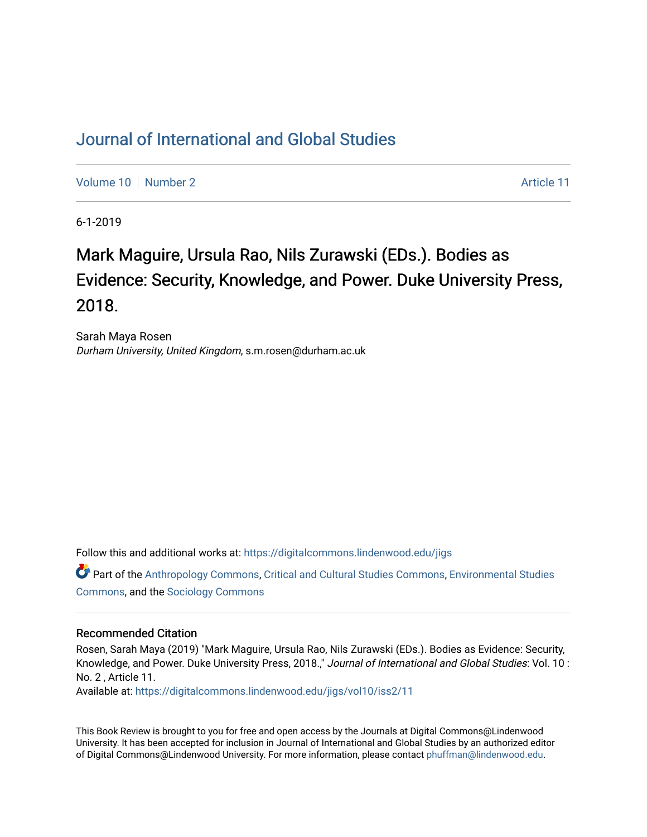## [Journal of International and Global Studies](https://digitalcommons.lindenwood.edu/jigs)

[Volume 10](https://digitalcommons.lindenwood.edu/jigs/vol10) [Number 2](https://digitalcommons.lindenwood.edu/jigs/vol10/iss2) Article 11

6-1-2019

## Mark Maguire, Ursula Rao, Nils Zurawski (EDs.). Bodies as Evidence: Security, Knowledge, and Power. Duke University Press, 2018.

Sarah Maya Rosen Durham University, United Kingdom, s.m.rosen@durham.ac.uk

Follow this and additional works at: [https://digitalcommons.lindenwood.edu/jigs](https://digitalcommons.lindenwood.edu/jigs?utm_source=digitalcommons.lindenwood.edu%2Fjigs%2Fvol10%2Fiss2%2F11&utm_medium=PDF&utm_campaign=PDFCoverPages) 

Part of the [Anthropology Commons](http://network.bepress.com/hgg/discipline/318?utm_source=digitalcommons.lindenwood.edu%2Fjigs%2Fvol10%2Fiss2%2F11&utm_medium=PDF&utm_campaign=PDFCoverPages), [Critical and Cultural Studies Commons](http://network.bepress.com/hgg/discipline/328?utm_source=digitalcommons.lindenwood.edu%2Fjigs%2Fvol10%2Fiss2%2F11&utm_medium=PDF&utm_campaign=PDFCoverPages), [Environmental Studies](http://network.bepress.com/hgg/discipline/1333?utm_source=digitalcommons.lindenwood.edu%2Fjigs%2Fvol10%2Fiss2%2F11&utm_medium=PDF&utm_campaign=PDFCoverPages)  [Commons](http://network.bepress.com/hgg/discipline/1333?utm_source=digitalcommons.lindenwood.edu%2Fjigs%2Fvol10%2Fiss2%2F11&utm_medium=PDF&utm_campaign=PDFCoverPages), and the [Sociology Commons](http://network.bepress.com/hgg/discipline/416?utm_source=digitalcommons.lindenwood.edu%2Fjigs%2Fvol10%2Fiss2%2F11&utm_medium=PDF&utm_campaign=PDFCoverPages)

## Recommended Citation

Rosen, Sarah Maya (2019) "Mark Maguire, Ursula Rao, Nils Zurawski (EDs.). Bodies as Evidence: Security, Knowledge, and Power. Duke University Press, 2018.," Journal of International and Global Studies: Vol. 10 : No. 2 , Article 11.

Available at: [https://digitalcommons.lindenwood.edu/jigs/vol10/iss2/11](https://digitalcommons.lindenwood.edu/jigs/vol10/iss2/11?utm_source=digitalcommons.lindenwood.edu%2Fjigs%2Fvol10%2Fiss2%2F11&utm_medium=PDF&utm_campaign=PDFCoverPages) 

This Book Review is brought to you for free and open access by the Journals at Digital Commons@Lindenwood University. It has been accepted for inclusion in Journal of International and Global Studies by an authorized editor of Digital Commons@Lindenwood University. For more information, please contact [phuffman@lindenwood.edu](mailto:phuffman@lindenwood.edu).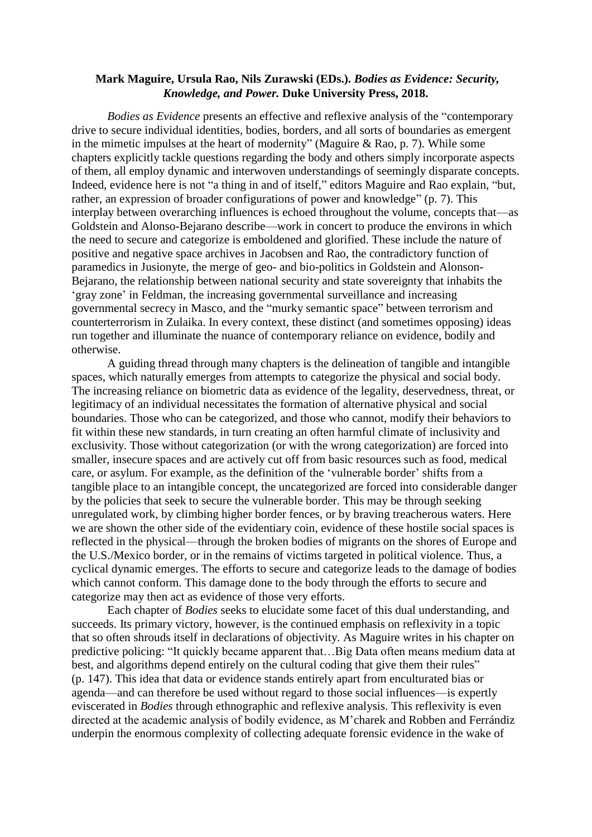## **Mark Maguire, Ursula Rao, Nils Zurawski (EDs.).** *Bodies as Evidence: Security, Knowledge, and Power.* **Duke University Press, 2018.**

*Bodies as Evidence* presents an effective and reflexive analysis of the "contemporary drive to secure individual identities, bodies, borders, and all sorts of boundaries as emergent in the mimetic impulses at the heart of modernity" (Maguire  $\&$  Rao, p. 7). While some chapters explicitly tackle questions regarding the body and others simply incorporate aspects of them, all employ dynamic and interwoven understandings of seemingly disparate concepts. Indeed, evidence here is not "a thing in and of itself," editors Maguire and Rao explain, "but, rather, an expression of broader configurations of power and knowledge" (p. 7). This interplay between overarching influences is echoed throughout the volume, concepts that—as Goldstein and Alonso-Bejarano describe—work in concert to produce the environs in which the need to secure and categorize is emboldened and glorified. These include the nature of positive and negative space archives in Jacobsen and Rao, the contradictory function of paramedics in Jusionyte, the merge of geo- and bio-politics in Goldstein and Alonson-Bejarano, the relationship between national security and state sovereignty that inhabits the 'gray zone' in Feldman, the increasing governmental surveillance and increasing governmental secrecy in Masco, and the "murky semantic space" between terrorism and counterterrorism in Zulaika. In every context, these distinct (and sometimes opposing) ideas run together and illuminate the nuance of contemporary reliance on evidence, bodily and otherwise.

A guiding thread through many chapters is the delineation of tangible and intangible spaces, which naturally emerges from attempts to categorize the physical and social body. The increasing reliance on biometric data as evidence of the legality, deservedness, threat, or legitimacy of an individual necessitates the formation of alternative physical and social boundaries. Those who can be categorized, and those who cannot, modify their behaviors to fit within these new standards, in turn creating an often harmful climate of inclusivity and exclusivity. Those without categorization (or with the wrong categorization) are forced into smaller, insecure spaces and are actively cut off from basic resources such as food, medical care, or asylum. For example, as the definition of the 'vulnerable border' shifts from a tangible place to an intangible concept, the uncategorized are forced into considerable danger by the policies that seek to secure the vulnerable border. This may be through seeking unregulated work, by climbing higher border fences, or by braving treacherous waters. Here we are shown the other side of the evidentiary coin, evidence of these hostile social spaces is reflected in the physical—through the broken bodies of migrants on the shores of Europe and the U.S./Mexico border, or in the remains of victims targeted in political violence. Thus, a cyclical dynamic emerges. The efforts to secure and categorize leads to the damage of bodies which cannot conform. This damage done to the body through the efforts to secure and categorize may then act as evidence of those very efforts.

Each chapter of *Bodies* seeks to elucidate some facet of this dual understanding, and succeeds. Its primary victory, however, is the continued emphasis on reflexivity in a topic that so often shrouds itself in declarations of objectivity. As Maguire writes in his chapter on predictive policing: "It quickly became apparent that…Big Data often means medium data at best, and algorithms depend entirely on the cultural coding that give them their rules" (p. 147). This idea that data or evidence stands entirely apart from enculturated bias or agenda—and can therefore be used without regard to those social influences—is expertly eviscerated in *Bodies* through ethnographic and reflexive analysis. This reflexivity is even directed at the academic analysis of bodily evidence, as M'charek and Robben and Ferrándiz underpin the enormous complexity of collecting adequate forensic evidence in the wake of